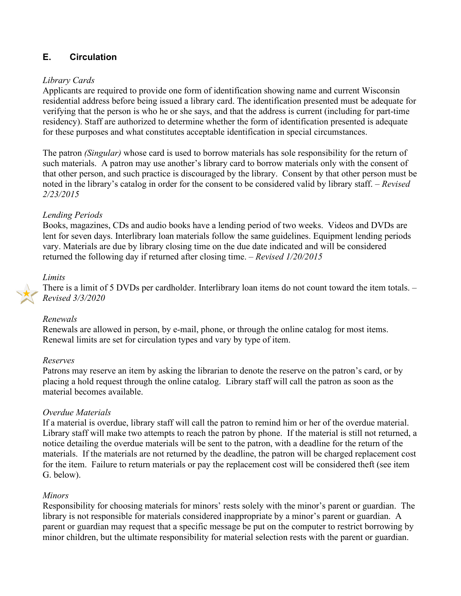# **E. Circulation**

### *Library Cards*

Applicants are required to provide one form of identification showing name and current Wisconsin residential address before being issued a library card. The identification presented must be adequate for verifying that the person is who he or she says, and that the address is current (including for part-time residency). Staff are authorized to determine whether the form of identification presented is adequate for these purposes and what constitutes acceptable identification in special circumstances.

The patron *(Singular)* whose card is used to borrow materials has sole responsibility for the return of such materials. A patron may use another's library card to borrow materials only with the consent of that other person, and such practice is discouraged by the library. Consent by that other person must be noted in the library's catalog in order for the consent to be considered valid by library staff. – *Revised 2/23/2015*

### *Lending Periods*

Books, magazines, CDs and audio books have a lending period of two weeks. Videos and DVDs are lent for seven days. Interlibrary loan materials follow the same guidelines. Equipment lending periods vary. Materials are due by library closing time on the due date indicated and will be considered returned the following day if returned after closing time. – *Revised 1/20/2015*

### *Limits*

There is a limit of 5 DVDs per cardholder. Interlibrary loan items do not count toward the item totals. – *Revised 3/3/2020*

## *Renewals*

Renewals are allowed in person, by e-mail, phone, or through the online catalog for most items. Renewal limits are set for circulation types and vary by type of item.

#### *Reserves*

Patrons may reserve an item by asking the librarian to denote the reserve on the patron's card, or by placing a hold request through the online catalog. Library staff will call the patron as soon as the material becomes available.

## *Overdue Materials*

If a material is overdue, library staff will call the patron to remind him or her of the overdue material. Library staff will make two attempts to reach the patron by phone. If the material is still not returned, a notice detailing the overdue materials will be sent to the patron, with a deadline for the return of the materials. If the materials are not returned by the deadline, the patron will be charged replacement cost for the item. Failure to return materials or pay the replacement cost will be considered theft (see item G. below).

#### *Minors*

Responsibility for choosing materials for minors' rests solely with the minor's parent or guardian. The library is not responsible for materials considered inappropriate by a minor's parent or guardian. A parent or guardian may request that a specific message be put on the computer to restrict borrowing by minor children, but the ultimate responsibility for material selection rests with the parent or guardian.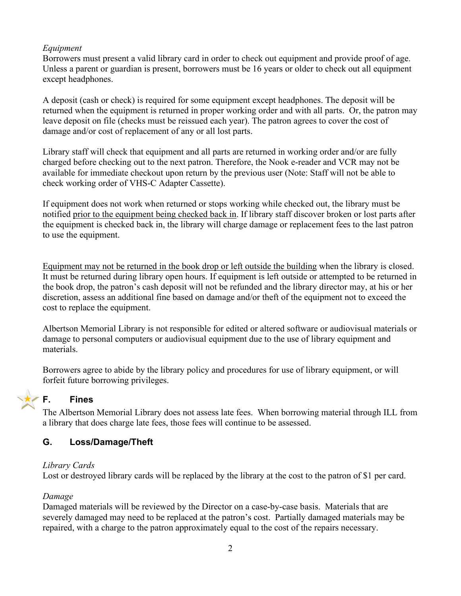## *Equipment*

Borrowers must present a valid library card in order to check out equipment and provide proof of age. Unless a parent or guardian is present, borrowers must be 16 years or older to check out all equipment except headphones.

A deposit (cash or check) is required for some equipment except headphones. The deposit will be returned when the equipment is returned in proper working order and with all parts. Or, the patron may leave deposit on file (checks must be reissued each year). The patron agrees to cover the cost of damage and/or cost of replacement of any or all lost parts.

Library staff will check that equipment and all parts are returned in working order and/or are fully charged before checking out to the next patron. Therefore, the Nook e-reader and VCR may not be available for immediate checkout upon return by the previous user (Note: Staff will not be able to check working order of VHS-C Adapter Cassette).

If equipment does not work when returned or stops working while checked out, the library must be notified prior to the equipment being checked back in. If library staff discover broken or lost parts after the equipment is checked back in, the library will charge damage or replacement fees to the last patron to use the equipment.

Equipment may not be returned in the book drop or left outside the building when the library is closed. It must be returned during library open hours. If equipment is left outside or attempted to be returned in the book drop, the patron's cash deposit will not be refunded and the library director may, at his or her discretion, assess an additional fine based on damage and/or theft of the equipment not to exceed the cost to replace the equipment.

Albertson Memorial Library is not responsible for edited or altered software or audiovisual materials or damage to personal computers or audiovisual equipment due to the use of library equipment and materials.

Borrowers agree to abide by the library policy and procedures for use of library equipment, or will forfeit future borrowing privileges.

## **F. Fines**

The Albertson Memorial Library does not assess late fees. When borrowing material through ILL from a library that does charge late fees, those fees will continue to be assessed.

## **G. Loss/Damage/Theft**

## *Library Cards*

Lost or destroyed library cards will be replaced by the library at the cost to the patron of \$1 per card.

## *Damage*

Damaged materials will be reviewed by the Director on a case-by-case basis. Materials that are severely damaged may need to be replaced at the patron's cost. Partially damaged materials may be repaired, with a charge to the patron approximately equal to the cost of the repairs necessary.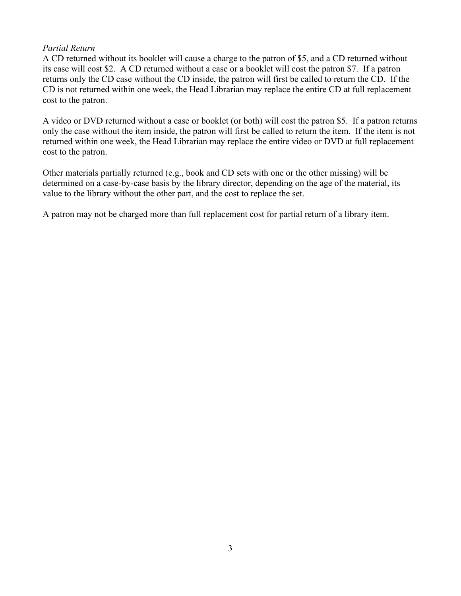## *Partial Return*

A CD returned without its booklet will cause a charge to the patron of \$5, and a CD returned without its case will cost \$2. A CD returned without a case or a booklet will cost the patron \$7. If a patron returns only the CD case without the CD inside, the patron will first be called to return the CD. If the CD is not returned within one week, the Head Librarian may replace the entire CD at full replacement cost to the patron.

A video or DVD returned without a case or booklet (or both) will cost the patron \$5. If a patron returns only the case without the item inside, the patron will first be called to return the item. If the item is not returned within one week, the Head Librarian may replace the entire video or DVD at full replacement cost to the patron.

Other materials partially returned (e.g., book and CD sets with one or the other missing) will be determined on a case-by-case basis by the library director, depending on the age of the material, its value to the library without the other part, and the cost to replace the set.

A patron may not be charged more than full replacement cost for partial return of a library item.